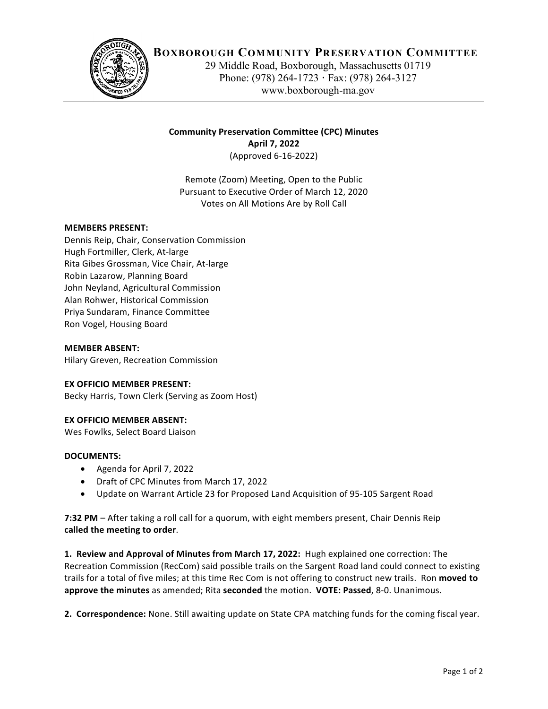

# **BOXBOROUGH COMMUNITY PRESERVATION COMMITTEE**

29 Middle Road, Boxborough, Massachusetts 01719 Phone: (978) 264-1723 **·** Fax: (978) 264-3127 www.boxborough-ma.gov

# **Community Preservation Committee (CPC) Minutes April 7, 2022** (Approved 6-16-2022)

Remote (Zoom) Meeting, Open to the Public Pursuant to Executive Order of March 12, 2020 Votes on All Motions Are by Roll Call

### **MEMBERS PRESENT:**

Dennis Reip, Chair, Conservation Commission Hugh Fortmiller, Clerk, At-large Rita Gibes Grossman, Vice Chair, At-large Robin Lazarow, Planning Board John Neyland, Agricultural Commission Alan Rohwer, Historical Commission Priya Sundaram, Finance Committee Ron Vogel, Housing Board

#### **MEMBER ABSENT:**

Hilary Greven, Recreation Commission

#### **EX OFFICIO MEMBER PRESENT:**

Becky Harris, Town Clerk (Serving as Zoom Host)

#### **EX OFFICIO MEMBER ABSENT:**

Wes Fowlks, Select Board Liaison

#### **DOCUMENTS:**

- Agenda for April 7, 2022
- Draft of CPC Minutes from March 17, 2022
- Update on Warrant Article 23 for Proposed Land Acquisition of 95-105 Sargent Road

**7:32 PM** – After taking a roll call for a quorum, with eight members present, Chair Dennis Reip called the meeting to order.

**1. Review and Approval of Minutes from March 17, 2022:** Hugh explained one correction: The Recreation Commission (RecCom) said possible trails on the Sargent Road land could connect to existing trails for a total of five miles; at this time Rec Com is not offering to construct new trails. Ron moved to **approve the minutes** as amended; Rita **seconded** the motion. **VOTE: Passed**, 8-0. Unanimous.

**2. Correspondence:** None. Still awaiting update on State CPA matching funds for the coming fiscal year.